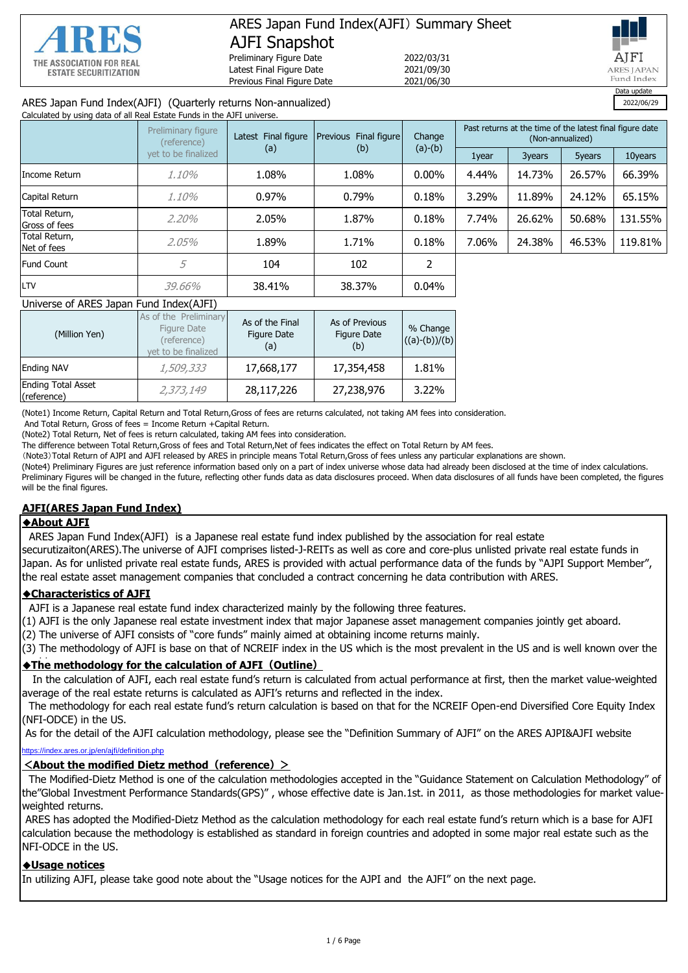

## ARES Japan Fund Index(AJFI) Summary Sheet AJFI Snapshot Preliminary Figure Date 2022/03/31

Latest Final Figure Date 2021/09/30 Previous Final Figure Date 2021/06/30



### ARES Japan Fund Index(AJFI) (Quarterly returns Non-annualized) 2022/06/29

| Calculated by using data of all Real Estate Funds in the AJFI universe. |                                   |                                              |          |           |                                                                              |        |        |         |
|-------------------------------------------------------------------------|-----------------------------------|----------------------------------------------|----------|-----------|------------------------------------------------------------------------------|--------|--------|---------|
|                                                                         | Preliminary figure<br>(reference) | Latest Final figure<br>Previous Final figure |          | Change    | Past returns at the time of the latest final figure date<br>(Non-annualized) |        |        |         |
|                                                                         | vet to be finalized               | (a)                                          | (b)      | $(a)-(b)$ | 1year                                                                        | 3years | 5years | 10years |
| Income Return                                                           | 1.10%                             | 1.08%                                        | 1.08%    | $0.00\%$  | 4.44%                                                                        | 14.73% | 26.57% | 66.39%  |
| Capital Return                                                          | 1.10%                             | $0.97\%$                                     | $0.79\%$ | 0.18%     | 3.29%                                                                        | 11.89% | 24.12% | 65.15%  |
| Total Return,<br>Gross of fees                                          | 2,20%                             | 2.05%                                        | 1.87%    | 0.18%     | 7.74%                                                                        | 26.62% | 50.68% | 131.55% |
| Total Return,<br>Net of fees                                            | 2.05%                             | 1.89%                                        | 1.71%    | 0.18%     | 7.06%                                                                        | 24.38% | 46.53% | 119.81% |
| <b>Fund Count</b>                                                       | 5                                 | 104                                          | 102      |           |                                                                              |        |        |         |
| LTV                                                                     | 39,66%                            | 38.41%                                       | 38.37%   | 0.04%     |                                                                              |        |        |         |

#### Universe of ARES Japan Fund Index(AJFI)

| (Million Yen)                            | As of the Preliminary<br>Figure Date<br>(reference)<br>vet to be finalized | As of the Final<br><b>Figure Date</b><br>(a) | As of Previous<br>Figure Date<br>(b) | % Change<br>$((a)-(b))/(b)$ |
|------------------------------------------|----------------------------------------------------------------------------|----------------------------------------------|--------------------------------------|-----------------------------|
| <b>Ending NAV</b>                        | 1,509,333                                                                  | 17,668,177                                   | 17,354,458                           | 1.81%                       |
| <b>Ending Total Asset</b><br>(reference) | 2,373,149                                                                  | 28,117,226                                   | 27,238,976                           | 3.22%                       |

(Note1) Income Return, Capital Return and Total Return,Gross of fees are returns calculated, not taking AM fees into consideration.

And Total Return, Gross of fees = Income Return +Capital Return.

(Note2) Total Return, Net of fees is return calculated, taking AM fees into consideration.

The difference between Total Return,Gross of fees and Total Return,Net of fees indicates the effect on Total Return by AM fees.

(Note3)Total Return of AJPI and AJFI released by ARES in principle means Total Return,Gross of fees unless any particular explanations are shown.

(Note4) Preliminary Figures are just reference information based only on a part of index universe whose data had already been disclosed at the time of index calculations. Preliminary Figures will be changed in the future, reflecting other funds data as data disclosures proceed. When data disclosures of all funds have been completed, the figures will be the final figures.

#### **AJFI(ARES Japan Fund Index)**

#### ◆**About AJFI**

ARES Japan Fund Index(AJFI) is a Japanese real estate fund index published by the association for real estate

securutizaiton(ARES).The universe of AJFI comprises listed-J-REITs as well as core and core-plus unlisted private real estate funds in Japan. As for unlisted private real estate funds, ARES is provided with actual performance data of the funds by "AJPI Support Member", the real estate asset management companies that concluded a contract concerning he data contribution with ARES.

#### ◆**Characteristics of AJFI**

AJFI is a Japanese real estate fund index characterized mainly by the following three features.

(1) AJFI is the only Japanese real estate investment index that major Japanese asset management companies jointly get aboard.

(2) The universe of AJFI consists of "core funds" mainly aimed at obtaining income returns mainly.

(3) The methodology of AJFI is base on that of NCREIF index in the US which is the most prevalent in the US and is well known over the

## ◆**The methodology for the calculation of AJFI(Outline)** world.

In the calculation of AJFI, each real estate fund's return is calculated from actual performance at first, then the market value-weighted average of the real estate returns is calculated as AJFI's returns and reflected in the index.

 The methodology for each real estate fund's return calculation is based on that for the NCREIF Open-end Diversified Core Equity Index (NFI-ODCE) in the US.

s or in/en/ajfi/definition php As for the detail of the AJFI calculation methodology, please see the "Definition Summary of AJFI" on the ARES AJPI&AJFI website

#### **<About the modified Dietz method(reference)>**

 The Modified-Dietz Method is one of the calculation methodologies accepted in the "Guidance Statement on Calculation Methodology" of the"Global Investment Performance Standards(GPS)" , whose effective date is Jan.1st. in 2011, as those methodologies for market valueweighted returns.

 ARES has adopted the Modified-Dietz Method as the calculation methodology for each real estate fund's return which is a base for AJFI calculation because the methodology is established as standard in foreign countries and adopted in some major real estate such as the NFI-ODCE in the US.

#### ◆**Usage notices**

In utilizing AJFI, please take good note about the "Usage notices for the AJPI and the AJFI" on the next page.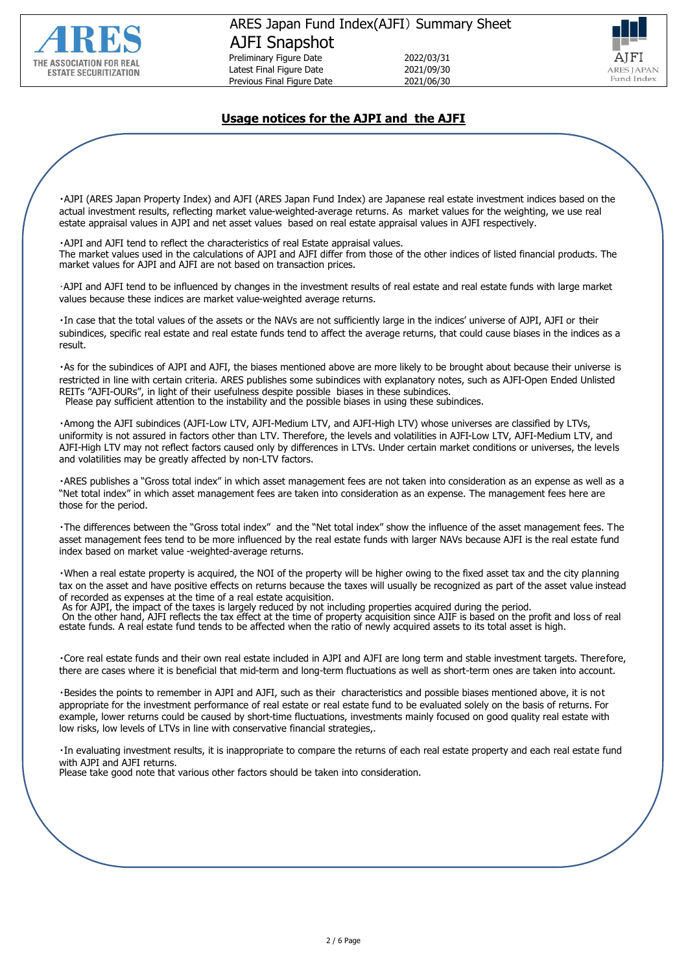



## **Usage notices for the AJPI and the AJFI**

・AJPI (ARES Japan Property Index) and AJFI (ARES Japan Fund Index) are Japanese real estate investment indices based on the actual investment results, reflecting market value-weighted-average returns. As market values for the weighting, we use real estate appraisal values in AJPI and net asset values based on real estate appraisal values in AJFI respectively.

・AJPI and AJFI tend to reflect the characteristics of real Estate appraisal values. The market values used in the calculations of AJPI and AJFI differ from those of the other indices of listed financial products. The market values for AJPI and AJFI are not based on transaction prices.

・AJPI and AJFI tend to be influenced by changes in the investment results of real estate and real estate funds with large market values because these indices are market value-weighted average returns.

・In case that the total values of the assets or the NAVs are not sufficiently large in the indices' universe of AJPI, AJFI or their subindices, specific real estate and real estate funds tend to affect the average returns, that could cause biases in the indices as a result.

・As for the subindices of AJPI and AJFI, the biases mentioned above are more likely to be brought about because their universe is restricted in line with certain criteria. ARES publishes some subindices with explanatory notes, such as AJFI-Open Ended Unlisted REITs "AJFI-OURs", in light of their usefulness despite possible biases in these subindices. Please pay sufficient attention to the instability and the possible biases in using these subindices.

・Among the AJFI subindices (AJFI-Low LTV, AJFI-Medium LTV, and AJFI-High LTV) whose universes are classified by LTVs, uniformity is not assured in factors other than LTV. Therefore, the levels and volatilities in AJFI-Low LTV, AJFI-Medium LTV, and AJFI-High LTV may not reflect factors caused only by differences in LTVs. Under certain market conditions or universes, the levels and volatilities may be greatly affected by non-LTV factors.

・ARES publishes a "Gross total index" in which asset management fees are not taken into consideration as an expense as well as a "Net total index" in which asset management fees are taken into consideration as an expense. The management fees here are those for the period.

・The differences between the "Gross total index" and the "Net total index" show the influence of the asset management fees. The asset management fees tend to be more influenced by the real estate funds with larger NAVs because AJFI is the real estate fund index based on market value -weighted-average returns.

・When a real estate property is acquired, the NOI of the property will be higher owing to the fixed asset tax and the city planning tax on the asset and have positive effects on returns because the taxes will usually be recognized as part of the asset value instead of recorded as expenses at the time of a real estate acquisition.

As for AJPI, the impact of the taxes is largely reduced by not including properties acquired during the period. On the other hand, AJFI reflects the tax effect at the time of property acquisition since AJIF is based on the profit and loss of real estate funds. A real estate fund tends to be affected when the ratio of newly acquired assets to its total asset is high.

・Core real estate funds and their own real estate included in AJPI and AJFI are long term and stable investment targets. Therefore, there are cases where it is beneficial that mid-term and long-term fluctuations as well as short-term ones are taken into account.

・Besides the points to remember in AJPI and AJFI, such as their characteristics and possible biases mentioned above, it is not appropriate for the investment performance of real estate or real estate fund to be evaluated solely on the basis of returns. For example, lower returns could be caused by short-time fluctuations, investments mainly focused on good quality real estate with low risks, low levels of LTVs in line with conservative financial strategies,.

・In evaluating investment results, it is inappropriate to compare the returns of each real estate property and each real estate fund with AJPI and AJFI returns.

Please take good note that various other factors should be taken into consideration.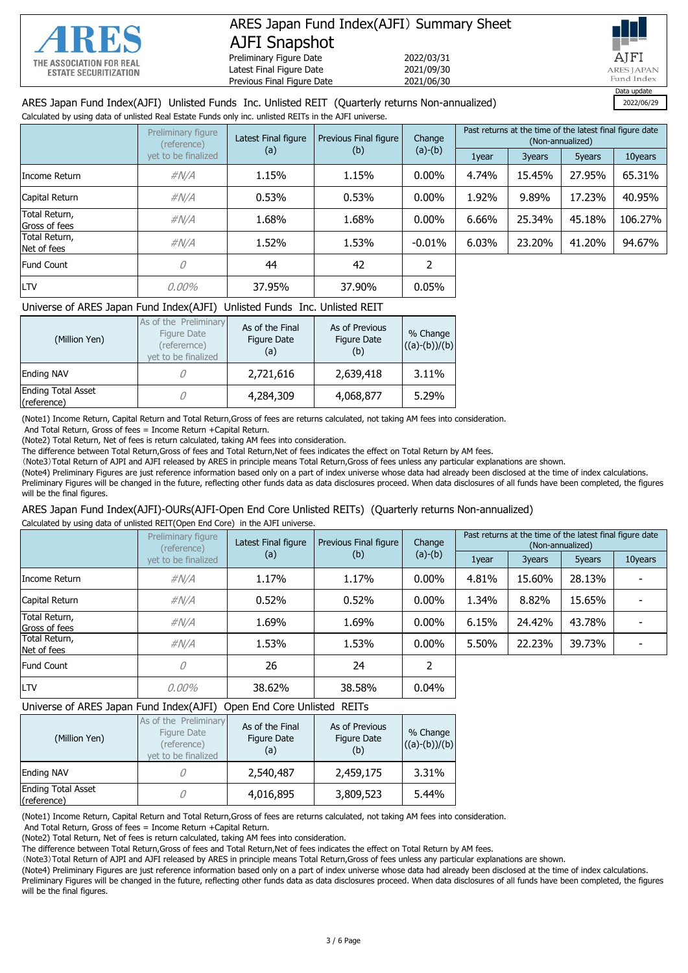

# ARES Japan Fund Index(AJFI) Summary Sheet AJFI Snapshot

Preliminary Figure Date 2022/03/31<br>
Latest Final Figure Date 2021/09/30 Latest Final Figure Date Previous Final Figure Date 2021/06/30



### ARES Japan Fund Index(AJFI) Unlisted Funds Inc. Unlisted REIT (Quarterly returns Non-annualized) 2022/06/29

Calculated by using data of unlisted Real Estate Funds only inc. unlisted REITs in the AJFI universe.

|                                | Preliminary figure<br>(reference) | Latest Final figure<br>(a) | Change<br>Previous Final figure |           | Past returns at the time of the latest final figure date<br>(Non-annualized) |        |        |         |
|--------------------------------|-----------------------------------|----------------------------|---------------------------------|-----------|------------------------------------------------------------------------------|--------|--------|---------|
|                                | vet to be finalized               |                            | (b)                             | $(a)-(b)$ | 1year                                                                        | 3years | 5years | 10years |
| Income Return                  | $\#N/A$                           | 1.15%                      | 1.15%                           | $0.00\%$  | 4.74%                                                                        | 15.45% | 27.95% | 65.31%  |
| Capital Return                 | $\#N/A$                           | 0.53%                      | 0.53%                           | $0.00\%$  | 1.92%                                                                        | 9.89%  | 17.23% | 40.95%  |
| Total Return,<br>Gross of fees | $\#N/A$                           | 1.68%                      | 1.68%                           | $0.00\%$  | 6.66%                                                                        | 25.34% | 45.18% | 106.27% |
| Total Return,<br>Net of fees   | $\#N/A$                           | 1.52%                      | 1.53%                           | $-0.01\%$ | 6.03%                                                                        | 23.20% | 41.20% | 94.67%  |
| <b>Fund Count</b>              | 0                                 | 44                         | 42                              |           |                                                                              |        |        |         |
| <b>LTV</b>                     | 0.00%                             | 37.95%                     | 37.90%                          | 0.05%     |                                                                              |        |        |         |

#### Universe of ARES Japan Fund Index(AJFI) Unlisted Funds Inc. Unlisted REIT

| (Million Yen)                            | As of the Preliminary<br>Figure Date<br>(referernce)<br>vet to be finalized | As of the Final<br>Figure Date<br>(a) | As of Previous<br>Figure Date<br>(b) | % Change<br>$((a)-(b))/(b)$ |
|------------------------------------------|-----------------------------------------------------------------------------|---------------------------------------|--------------------------------------|-----------------------------|
| <b>Ending NAV</b>                        |                                                                             | 2,721,616                             | 2,639,418                            | 3.11%                       |
| <b>Ending Total Asset</b><br>(reference) |                                                                             | 4,284,309                             | 4,068,877                            | 5.29%                       |

(Note1) Income Return, Capital Return and Total Return,Gross of fees are returns calculated, not taking AM fees into consideration.

And Total Return, Gross of fees = Income Return + Capital Return.

(Note2) Total Return, Net of fees is return calculated, taking AM fees into consideration.

The difference between Total Return,Gross of fees and Total Return,Net of fees indicates the effect on Total Return by AM fees.

(Note3)Total Return of AJPI and AJFI released by ARES in principle means Total Return,Gross of fees unless any particular explanations are shown.

(Note4) Preliminary Figures are just reference information based only on a part of index universe whose data had already been disclosed at the time of index calculations. Preliminary Figures will be changed in the future, reflecting other funds data as data disclosures proceed. When data disclosures of all funds have been completed, the figures will be the final figures.

# ARES Japan Fund Index(AJFI)-OURs(AJFI-Open End Core Unlisted REITs) (Quarterly returns Non-annualized)

Calculated by using data of unlisted REIT(Open End Core) in the AJFI universe.

|                                | Preliminary figure<br>(reference) | Latest Final figure<br>(a) | Previous Final figure<br>Change |           | Past returns at the time of the latest final figure date<br>(Non-annualized) |        |        |         |
|--------------------------------|-----------------------------------|----------------------------|---------------------------------|-----------|------------------------------------------------------------------------------|--------|--------|---------|
|                                | vet to be finalized               |                            | (b)                             | $(a)-(b)$ | 1year                                                                        | 3years | 5years | 10years |
| Income Return                  | $\#N/A$                           | 1.17%                      | 1.17%                           | $0.00\%$  | 4.81%                                                                        | 15.60% | 28.13% |         |
| Capital Return                 | $\#N/A$                           | 0.52%                      | 0.52%                           | $0.00\%$  | 1.34%                                                                        | 8.82%  | 15.65% |         |
| Total Return,<br>Gross of fees | $\#N/A$                           | 1.69%                      | 1.69%                           | $0.00\%$  | 6.15%                                                                        | 24.42% | 43.78% |         |
| Total Return,<br>Net of fees   | $\#N/A$                           | 1.53%                      | 1.53%                           | $0.00\%$  | 5.50%                                                                        | 22.23% | 39.73% |         |
| <b>Fund Count</b>              | 0                                 | 26                         | 24                              |           |                                                                              |        |        |         |
| LTV                            | 0,00%                             | 38.62%                     | 38.58%                          | 0.04%     |                                                                              |        |        |         |

#### Universe of ARES Japan Fund Index(AJFI) Open End Core Unlisted REITs

| (Million Yen)                            | As of the Preliminary<br>Figure Date<br>(reference)<br>vet to be finalized | As of the Final<br><b>Figure Date</b><br>(a) | As of Previous<br>Figure Date<br>(b) | % Change<br>$((a)-(b))/(b)$ |
|------------------------------------------|----------------------------------------------------------------------------|----------------------------------------------|--------------------------------------|-----------------------------|
| <b>Ending NAV</b>                        |                                                                            | 2,540,487                                    | 2,459,175                            | 3.31%                       |
| <b>Ending Total Asset</b><br>(reference) |                                                                            | 4,016,895                                    | 3,809,523                            | 5.44%                       |

(Note1) Income Return, Capital Return and Total Return,Gross of fees are returns calculated, not taking AM fees into consideration.

And Total Return, Gross of fees = Income Return +Capital Return.

(Note2) Total Return, Net of fees is return calculated, taking AM fees into consideration.

The difference between Total Return,Gross of fees and Total Return,Net of fees indicates the effect on Total Return by AM fees.

(Note3)Total Return of AJPI and AJFI released by ARES in principle means Total Return,Gross of fees unless any particular explanations are shown.

(Note4) Preliminary Figures are just reference information based only on a part of index universe whose data had already been disclosed at the time of index calculations. Preliminary Figures will be changed in the future, reflecting other funds data as data disclosures proceed. When data disclosures of all funds have been completed, the figures will be the final figures.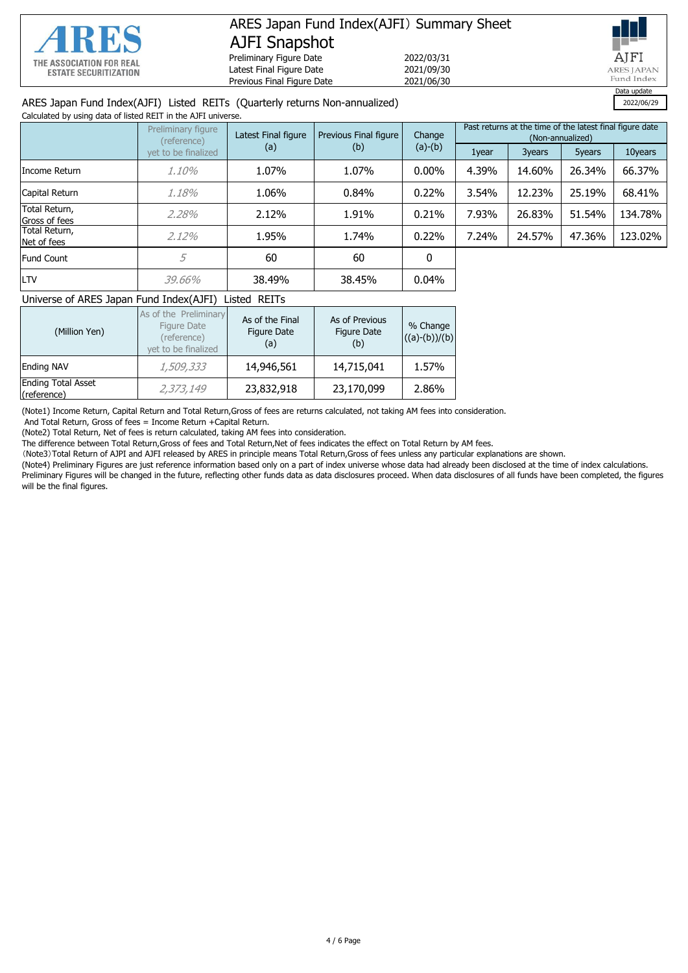

# ARES Japan Fund Index(AJFI) Summary Sheet AJFI Snapshot Preliminary Figure Date<br>
Latest Final Figure Date<br>
2021/09/30

Latest Final Figure Date 2021/09/30<br>Previous Final Figure Date 2021/06/30 Previous Final Figure Date



#### ARES Japan Fund Index(AJFI) Listed REITs (Quarterly returns Non-annualized) 2022/06/29

| Calculated by using data of listed REIT in the AJFI universe. |                                   |                     |                                 |           |                                                                              |        |        |         |
|---------------------------------------------------------------|-----------------------------------|---------------------|---------------------------------|-----------|------------------------------------------------------------------------------|--------|--------|---------|
|                                                               | Preliminary figure<br>(reference) | Latest Final figure | Previous Final figure<br>Change |           | Past returns at the time of the latest final figure date<br>(Non-annualized) |        |        |         |
|                                                               | vet to be finalized               | (a)                 | (b)                             | $(a)-(b)$ | 1year                                                                        | 3years | 5years | 10years |
| IIncome Return                                                | 1.10%                             | 1.07%               | 1.07%                           | $0.00\%$  | 4.39%                                                                        | 14.60% | 26.34% | 66.37%  |
| Capital Return                                                | 1,18%                             | 1.06%               | 0.84%                           | 0.22%     | 3.54%                                                                        | 12.23% | 25.19% | 68.41%  |
| Total Return,<br>Gross of fees                                | 2.28%                             | 2.12%               | 1.91%                           | 0.21%     | 7.93%                                                                        | 26.83% | 51.54% | 134.78% |
| Total Return,<br>Net of fees                                  | $2.12\%$                          | 1.95%               | 1.74%                           | 0.22%     | 7.24%                                                                        | 24.57% | 47.36% | 123,02% |
| <b>Fund Count</b>                                             | 5                                 | 60                  | 60                              | 0         |                                                                              |        |        |         |
| <b>LTV</b>                                                    | 39.66%                            | 38.49%              | 38.45%                          | 0.04%     |                                                                              |        |        |         |

#### Universe of ARES Japan Fund Index(AJFI) Listed REITs

| (Million Yen)                            | As of the Preliminary<br>Figure Date<br>(reference)<br>vet to be finalized | As of the Final<br>Figure Date<br>(a) | As of Previous<br>Figure Date<br>(b) | % Change<br>$((a)-(b))/(b)$ |
|------------------------------------------|----------------------------------------------------------------------------|---------------------------------------|--------------------------------------|-----------------------------|
| <b>Ending NAV</b>                        | 1,509,333                                                                  | 14,946,561                            | 14,715,041                           | 1.57%                       |
| <b>Ending Total Asset</b><br>(reference) | 2,373,149                                                                  | 23,832,918                            | 23,170,099                           | 2.86%                       |

(Note1) Income Return, Capital Return and Total Return,Gross of fees are returns calculated, not taking AM fees into consideration.

And Total Return, Gross of fees = Income Return +Capital Return.

(Note2) Total Return, Net of fees is return calculated, taking AM fees into consideration.

The difference between Total Return,Gross of fees and Total Return,Net of fees indicates the effect on Total Return by AM fees.

(Note3)Total Return of AJPI and AJFI released by ARES in principle means Total Return,Gross of fees unless any particular explanations are shown.

(Note4) Preliminary Figures are just reference information based only on a part of index universe whose data had already been disclosed at the time of index calculations. Preliminary Figures will be changed in the future, reflecting other funds data as data disclosures proceed. When data disclosures of all funds have been completed, the figures will be the final figures.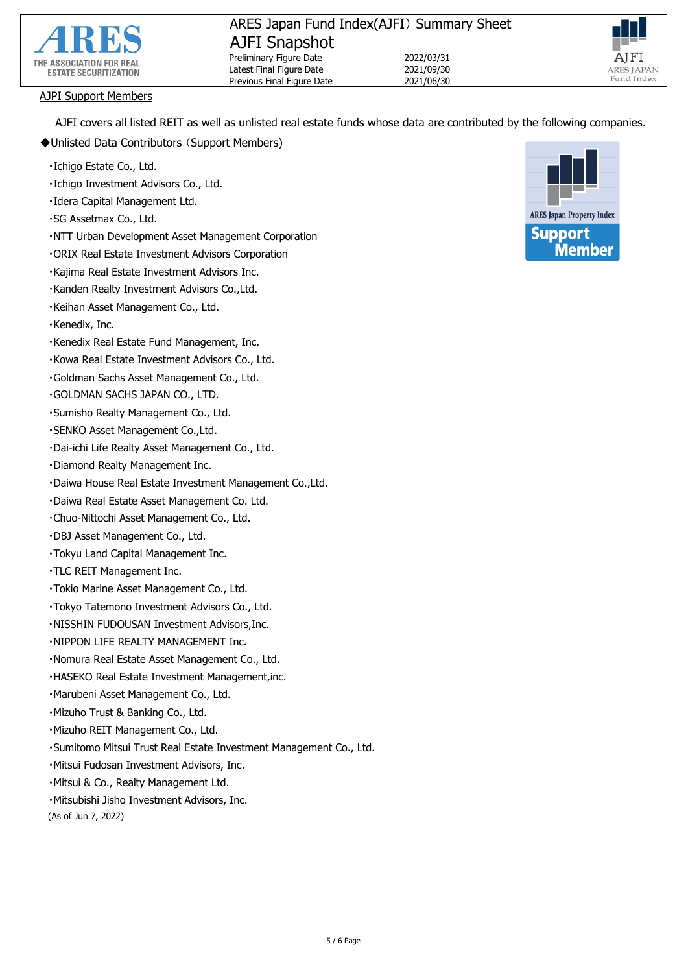



#### AJPI Support Members

AJFI covers all listed REIT as well as unlisted real estate funds whose data are contributed by the following companies.

- ◆Unlisted Data Contributors (Support Members)
	- ・Ichigo Estate Co., Ltd.
	- ・Ichigo Investment Advisors Co., Ltd.
	- ・Idera Capital Management Ltd.
	- ・SG Assetmax Co., Ltd.
	- ・NTT Urban Development Asset Management Corporation
	- ・ORIX Real Estate Investment Advisors Corporation
	- ・Kajima Real Estate Investment Advisors Inc.
	- ・Kanden Realty Investment Advisors Co.,Ltd.
	- ・Keihan Asset Management Co., Ltd.
	- ・Kenedix, Inc.
	- ・Kenedix Real Estate Fund Management, Inc.
	- ・Kowa Real Estate Investment Advisors Co., Ltd.
	- ・Goldman Sachs Asset Management Co., Ltd.
	- ・GOLDMAN SACHS JAPAN CO., LTD.
	- ・Sumisho Realty Management Co., Ltd.
	- ・SENKO Asset Management Co.,Ltd.
	- ・Dai-ichi Life Realty Asset Management Co., Ltd.
	- ・Diamond Realty Management Inc.
	- ・Daiwa House Real Estate Investment Management Co.,Ltd.
	- ・Daiwa Real Estate Asset Management Co. Ltd.
	- ・Chuo-Nittochi Asset Management Co., Ltd.
	- ・DBJ Asset Management Co., Ltd.
	- ・Tokyu Land Capital Management Inc.
	- ・TLC REIT Management Inc.
	- ・Tokio Marine Asset Management Co., Ltd.
	- ・Tokyo Tatemono Investment Advisors Co., Ltd.
	- ・NISSHIN FUDOUSAN Investment Advisors,Inc.
	- ・NIPPON LIFE REALTY MANAGEMENT Inc.
	- ・Nomura Real Estate Asset Management Co., Ltd.
	- ・HASEKO Real Estate Investment Management,inc.
	- ・Marubeni Asset Management Co., Ltd.
	- ・Mizuho Trust & Banking Co., Ltd.
	- ・Mizuho REIT Management Co., Ltd.
	- ・Sumitomo Mitsui Trust Real Estate Investment Management Co., Ltd.
	- ・Mitsui Fudosan Investment Advisors, Inc.
	- ・Mitsui & Co., Realty Management Ltd.
	- ・Mitsubishi Jisho Investment Advisors, Inc.

(As of Jun 7, 2022)